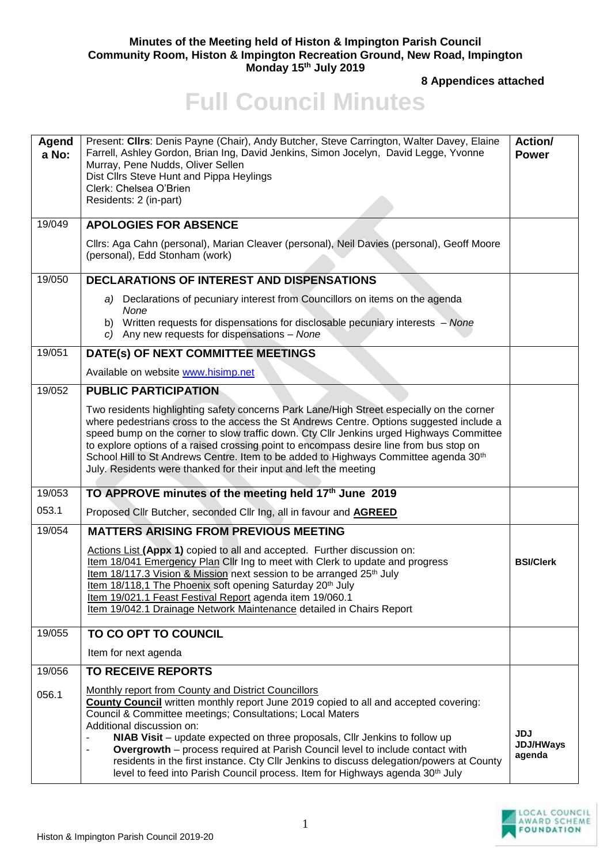## **Minutes of the Meeting held of Histon & Impington Parish Council Community Room, Histon & Impington Recreation Ground, New Road, Impington Monday 15th July 2019**

**8 Appendices attached**

## **Full Council Minutes**

| Agend<br>a No: | Present: Cllrs: Denis Payne (Chair), Andy Butcher, Steve Carrington, Walter Davey, Elaine<br>Farrell, Ashley Gordon, Brian Ing, David Jenkins, Simon Jocelyn, David Legge, Yvonne<br>Murray, Pene Nudds, Oliver Sellen<br>Dist Cllrs Steve Hunt and Pippa Heylings<br>Clerk: Chelsea O'Brien<br>Residents: 2 (in-part)                                                                                                                                                                                                                                                                               | Action/<br><b>Power</b>                  |
|----------------|------------------------------------------------------------------------------------------------------------------------------------------------------------------------------------------------------------------------------------------------------------------------------------------------------------------------------------------------------------------------------------------------------------------------------------------------------------------------------------------------------------------------------------------------------------------------------------------------------|------------------------------------------|
| 19/049         | <b>APOLOGIES FOR ABSENCE</b>                                                                                                                                                                                                                                                                                                                                                                                                                                                                                                                                                                         |                                          |
|                | Cllrs: Aga Cahn (personal), Marian Cleaver (personal), Neil Davies (personal), Geoff Moore<br>(personal), Edd Stonham (work)                                                                                                                                                                                                                                                                                                                                                                                                                                                                         |                                          |
| 19/050         | <b>DECLARATIONS OF INTEREST AND DISPENSATIONS</b>                                                                                                                                                                                                                                                                                                                                                                                                                                                                                                                                                    |                                          |
|                | a) Declarations of pecuniary interest from Councillors on items on the agenda<br>None<br>b) Written requests for dispensations for disclosable pecuniary interests - None<br>c) Any new requests for dispensations - None                                                                                                                                                                                                                                                                                                                                                                            |                                          |
| 19/051         | DATE(s) OF NEXT COMMITTEE MEETINGS                                                                                                                                                                                                                                                                                                                                                                                                                                                                                                                                                                   |                                          |
|                | Available on website www.hisimp.net                                                                                                                                                                                                                                                                                                                                                                                                                                                                                                                                                                  |                                          |
| 19/052         | <b>PUBLIC PARTICIPATION</b>                                                                                                                                                                                                                                                                                                                                                                                                                                                                                                                                                                          |                                          |
|                | Two residents highlighting safety concerns Park Lane/High Street especially on the corner<br>where pedestrians cross to the access the St Andrews Centre. Options suggested include a<br>speed bump on the corner to slow traffic down. Cty Cllr Jenkins urged Highways Committee<br>to explore options of a raised crossing point to encompass desire line from bus stop on<br>School Hill to St Andrews Centre. Item to be added to Highways Committee agenda 30 <sup>th</sup><br>July. Residents were thanked for their input and left the meeting                                                |                                          |
| 19/053         | TO APPROVE minutes of the meeting held 17th June 2019                                                                                                                                                                                                                                                                                                                                                                                                                                                                                                                                                |                                          |
| 053.1          | Proposed Cllr Butcher, seconded Cllr Ing, all in favour and <b>AGREED</b>                                                                                                                                                                                                                                                                                                                                                                                                                                                                                                                            |                                          |
| 19/054         | <b>MATTERS ARISING FROM PREVIOUS MEETING</b><br>Actions List (Appx 1) copied to all and accepted. Further discussion on:<br>Item 18/041 Emergency Plan Cllr Ing to meet with Clerk to update and progress<br>Item 18/117.3 Vision & Mission next session to be arranged 25th July<br>Item 18/118,1 The Phoenix soft opening Saturday 20 <sup>th</sup> July<br>Item 19/021.1 Feast Festival Report agenda item 19/060.1<br>Item 19/042.1 Drainage Network Maintenance detailed in Chairs Report                                                                                                       | <b>BSI/Clerk</b>                         |
| 19/055         | TO CO OPT TO COUNCIL                                                                                                                                                                                                                                                                                                                                                                                                                                                                                                                                                                                 |                                          |
|                | Item for next agenda                                                                                                                                                                                                                                                                                                                                                                                                                                                                                                                                                                                 |                                          |
| 19/056         | <b>TO RECEIVE REPORTS</b>                                                                                                                                                                                                                                                                                                                                                                                                                                                                                                                                                                            |                                          |
| 056.1          | Monthly report from County and District Councillors<br><b>County Council</b> written monthly report June 2019 copied to all and accepted covering:<br>Council & Committee meetings; Consultations; Local Maters<br>Additional discussion on:<br>NIAB Visit - update expected on three proposals, Cllr Jenkins to follow up<br>Overgrowth - process required at Parish Council level to include contact with<br>residents in the first instance. Cty Cllr Jenkins to discuss delegation/powers at County<br>level to feed into Parish Council process. Item for Highways agenda 30 <sup>th</sup> July | <b>JDJ</b><br><b>JDJ/HWays</b><br>agenda |

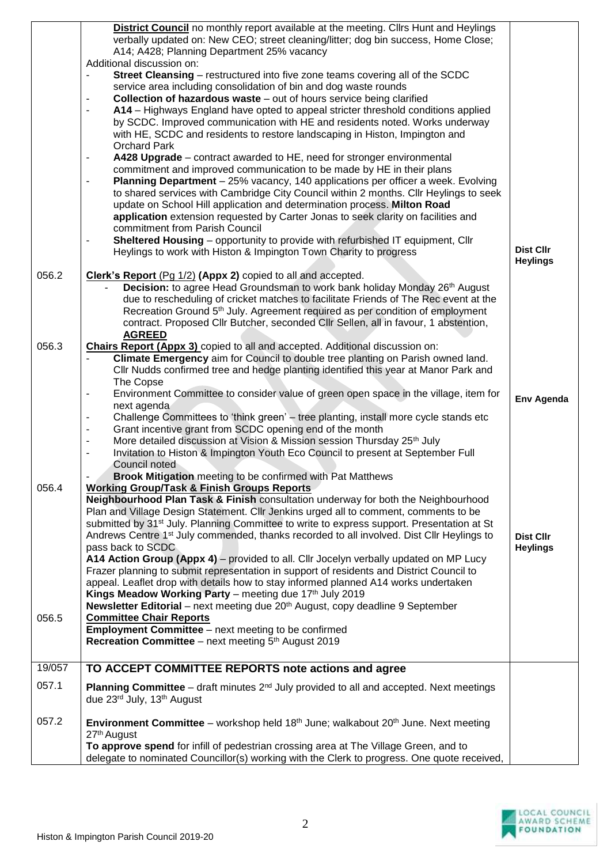|        | District Council no monthly report available at the meeting. Cllrs Hunt and Heylings<br>verbally updated on: New CEO; street cleaning/litter; dog bin success, Home Close;<br>A14; A428; Planning Department 25% vacancy |                  |
|--------|--------------------------------------------------------------------------------------------------------------------------------------------------------------------------------------------------------------------------|------------------|
|        | Additional discussion on:                                                                                                                                                                                                |                  |
|        | Street Cleansing - restructured into five zone teams covering all of the SCDC<br>$\blacksquare$                                                                                                                          |                  |
|        | service area including consolidation of bin and dog waste rounds                                                                                                                                                         |                  |
|        | <b>Collection of hazardous waste</b> – out of hours service being clarified<br>$\overline{\phantom{a}}$                                                                                                                  |                  |
|        | A14 - Highways England have opted to appeal stricter threshold conditions applied<br>$\blacksquare$                                                                                                                      |                  |
|        |                                                                                                                                                                                                                          |                  |
|        | by SCDC. Improved communication with HE and residents noted. Works underway                                                                                                                                              |                  |
|        | with HE, SCDC and residents to restore landscaping in Histon, Impington and                                                                                                                                              |                  |
|        | <b>Orchard Park</b>                                                                                                                                                                                                      |                  |
|        | A428 Upgrade – contract awarded to HE, need for stronger environmental<br>$\blacksquare$                                                                                                                                 |                  |
|        | commitment and improved communication to be made by HE in their plans                                                                                                                                                    |                  |
|        | Planning Department - 25% vacancy, 140 applications per officer a week. Evolving<br>$\blacksquare$                                                                                                                       |                  |
|        | to shared services with Cambridge City Council within 2 months. Cllr Heylings to seek                                                                                                                                    |                  |
|        | update on School Hill application and determination process. Milton Road                                                                                                                                                 |                  |
|        | application extension requested by Carter Jonas to seek clarity on facilities and                                                                                                                                        |                  |
|        | commitment from Parish Council                                                                                                                                                                                           |                  |
|        | Sheltered Housing - opportunity to provide with refurbished IT equipment, Cllr<br>$\qquad \qquad \blacksquare$                                                                                                           |                  |
|        | Heylings to work with Histon & Impington Town Charity to progress                                                                                                                                                        | <b>Dist Cllr</b> |
|        |                                                                                                                                                                                                                          | <b>Heylings</b>  |
|        |                                                                                                                                                                                                                          |                  |
| 056.2  | Clerk's Report (Pg 1/2) (Appx 2) copied to all and accepted.                                                                                                                                                             |                  |
|        | Decision: to agree Head Groundsman to work bank holiday Monday 26th August                                                                                                                                               |                  |
|        | due to rescheduling of cricket matches to facilitate Friends of The Rec event at the                                                                                                                                     |                  |
|        | Recreation Ground 5 <sup>th</sup> July. Agreement required as per condition of employment                                                                                                                                |                  |
|        | contract. Proposed Cllr Butcher, seconded Cllr Sellen, all in favour, 1 abstention,                                                                                                                                      |                  |
|        | <b>AGREED</b>                                                                                                                                                                                                            |                  |
| 056.3  | Chairs Report (Appx 3) copied to all and accepted. Additional discussion on:                                                                                                                                             |                  |
|        | Climate Emergency aim for Council to double tree planting on Parish owned land.                                                                                                                                          |                  |
|        | Cllr Nudds confirmed tree and hedge planting identified this year at Manor Park and                                                                                                                                      |                  |
|        | The Copse                                                                                                                                                                                                                |                  |
|        | Environment Committee to consider value of green open space in the village, item for<br>$\qquad \qquad \blacksquare$                                                                                                     | Env Agenda       |
|        | next agenda                                                                                                                                                                                                              |                  |
|        | Challenge Committees to 'think green' - tree planting, install more cycle stands etc<br>$\overline{\phantom{a}}$                                                                                                         |                  |
|        | Grant incentive grant from SCDC opening end of the month<br>$\overline{\phantom{a}}$                                                                                                                                     |                  |
|        | More detailed discussion at Vision & Mission session Thursday 25 <sup>th</sup> July                                                                                                                                      |                  |
|        | Invitation to Histon & Impington Youth Eco Council to present at September Full<br>$\blacksquare$                                                                                                                        |                  |
|        | Council noted                                                                                                                                                                                                            |                  |
|        | <b>Brook Mitigation</b> meeting to be confirmed with Pat Matthews                                                                                                                                                        |                  |
| 056.4  | <b>Working Group/Task &amp; Finish Groups Reports</b>                                                                                                                                                                    |                  |
|        | Neighbourhood Plan Task & Finish consultation underway for both the Neighbourhood                                                                                                                                        |                  |
|        | Plan and Village Design Statement. Cllr Jenkins urged all to comment, comments to be                                                                                                                                     |                  |
|        | submitted by 31 <sup>st</sup> July. Planning Committee to write to express support. Presentation at St                                                                                                                   |                  |
|        | Andrews Centre 1 <sup>st</sup> July commended, thanks recorded to all involved. Dist Cllr Heylings to                                                                                                                    | <b>Dist Cllr</b> |
|        | pass back to SCDC                                                                                                                                                                                                        | <b>Heylings</b>  |
|        | A14 Action Group (Appx 4) – provided to all. Cllr Jocelyn verbally updated on MP Lucy                                                                                                                                    |                  |
|        | Frazer planning to submit representation in support of residents and District Council to                                                                                                                                 |                  |
|        | appeal. Leaflet drop with details how to stay informed planned A14 works undertaken                                                                                                                                      |                  |
|        | Kings Meadow Working Party - meeting due 17th July 2019                                                                                                                                                                  |                  |
|        | <b>Newsletter Editorial</b> – next meeting due 20 <sup>th</sup> August, copy deadline 9 September                                                                                                                        |                  |
| 056.5  | <b>Committee Chair Reports</b>                                                                                                                                                                                           |                  |
|        | <b>Employment Committee</b> – next meeting to be confirmed                                                                                                                                                               |                  |
|        | Recreation Committee - next meeting 5th August 2019                                                                                                                                                                      |                  |
|        |                                                                                                                                                                                                                          |                  |
|        |                                                                                                                                                                                                                          |                  |
| 19/057 | TO ACCEPT COMMITTEE REPORTS note actions and agree                                                                                                                                                                       |                  |
| 057.1  | <b>Planning Committee</b> – draft minutes $2^{nd}$ July provided to all and accepted. Next meetings                                                                                                                      |                  |
|        | due 23rd July, 13th August                                                                                                                                                                                               |                  |
|        |                                                                                                                                                                                                                          |                  |
| 057.2  | <b>Environment Committee</b> – workshop held 18 <sup>th</sup> June; walkabout $20^{th}$ June. Next meeting                                                                                                               |                  |
|        | 27 <sup>th</sup> August                                                                                                                                                                                                  |                  |
|        | To approve spend for infill of pedestrian crossing area at The Village Green, and to                                                                                                                                     |                  |
|        | delegate to nominated Councillor(s) working with the Clerk to progress. One quote received,                                                                                                                              |                  |
|        |                                                                                                                                                                                                                          |                  |

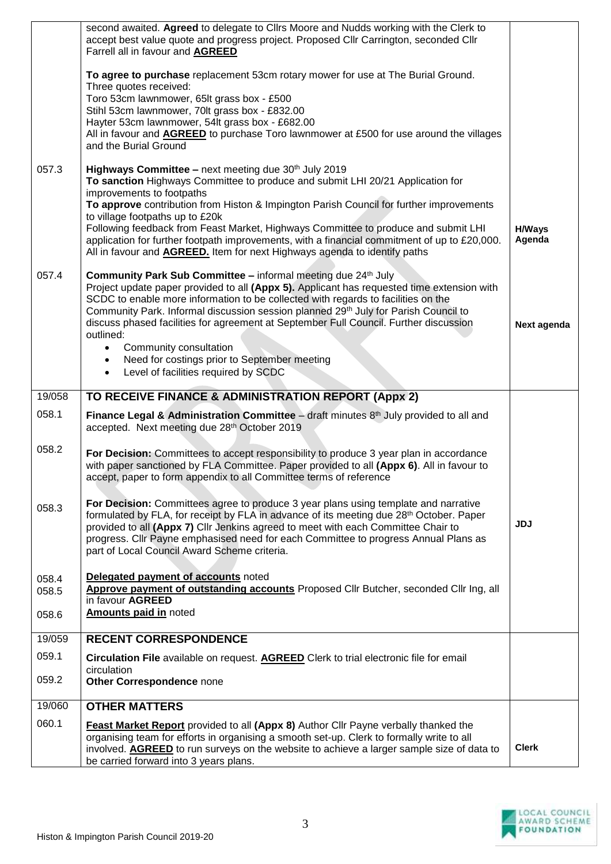| 060.1          | <b>Feast Market Report</b> provided to all (Appx 8) Author Cllr Payne verbally thanked the<br>organising team for efforts in organising a smooth set-up. Clerk to formally write to all<br>involved. AGREED to run surveys on the website to achieve a larger sample size of data to<br>be carried forward into 3 years plans.                                                                                                                                                                                      | <b>Clerk</b>            |
|----------------|---------------------------------------------------------------------------------------------------------------------------------------------------------------------------------------------------------------------------------------------------------------------------------------------------------------------------------------------------------------------------------------------------------------------------------------------------------------------------------------------------------------------|-------------------------|
| 19/060         | <b>OTHER MATTERS</b>                                                                                                                                                                                                                                                                                                                                                                                                                                                                                                |                         |
| 059.2          | circulation<br>Other Correspondence none                                                                                                                                                                                                                                                                                                                                                                                                                                                                            |                         |
| 059.1          | Circulation File available on request. AGREED Clerk to trial electronic file for email                                                                                                                                                                                                                                                                                                                                                                                                                              |                         |
| 19/059         | <b>RECENT CORRESPONDENCE</b>                                                                                                                                                                                                                                                                                                                                                                                                                                                                                        |                         |
| 058.5<br>058.6 | Approve payment of outstanding accounts Proposed Cllr Butcher, seconded Cllr Ing, all<br>in favour AGREED<br><b>Amounts paid in noted</b>                                                                                                                                                                                                                                                                                                                                                                           |                         |
| 058.4          | Delegated payment of accounts noted                                                                                                                                                                                                                                                                                                                                                                                                                                                                                 |                         |
| 058.3          | For Decision: Committees agree to produce 3 year plans using template and narrative<br>formulated by FLA, for receipt by FLA in advance of its meeting due 28 <sup>th</sup> October. Paper<br>provided to all (Appx 7) Cllr Jenkins agreed to meet with each Committee Chair to<br>progress. Cllr Payne emphasised need for each Committee to progress Annual Plans as<br>part of Local Council Award Scheme criteria.                                                                                              | <b>JDJ</b>              |
| 058.2          | For Decision: Committees to accept responsibility to produce 3 year plan in accordance<br>with paper sanctioned by FLA Committee. Paper provided to all (Appx 6). All in favour to<br>accept, paper to form appendix to all Committee terms of reference                                                                                                                                                                                                                                                            |                         |
| 058.1          | Finance Legal & Administration Committee $-$ draft minutes $8th$ July provided to all and<br>accepted. Next meeting due 28th October 2019                                                                                                                                                                                                                                                                                                                                                                           |                         |
| 19/058         | TO RECEIVE FINANCE & ADMINISTRATION REPORT (Appx 2)                                                                                                                                                                                                                                                                                                                                                                                                                                                                 |                         |
|                | Community Park. Informal discussion session planned 29 <sup>th</sup> July for Parish Council to<br>discuss phased facilities for agreement at September Full Council. Further discussion<br>outlined:<br>Community consultation<br>$\bullet$<br>Need for costings prior to September meeting<br>$\bullet$<br>Level of facilities required by SCDC<br>$\bullet$                                                                                                                                                      | Next agenda             |
| 057.4          | <b>Community Park Sub Committee - informal meeting due 24th July</b><br>Project update paper provided to all (Appx 5). Applicant has requested time extension with<br>SCDC to enable more information to be collected with regards to facilities on the                                                                                                                                                                                                                                                             |                         |
|                | To sanction Highways Committee to produce and submit LHI 20/21 Application for<br>improvements to footpaths<br>To approve contribution from Histon & Impington Parish Council for further improvements<br>to village footpaths up to £20k<br>Following feedback from Feast Market, Highways Committee to produce and submit LHI<br>application for further footpath improvements, with a financial commitment of up to £20,000.<br>All in favour and <b>AGREED.</b> Item for next Highways agenda to identify paths | <b>H/Ways</b><br>Agenda |
| 057.3          | All in favour and <b>AGREED</b> to purchase Toro lawnmower at £500 for use around the villages<br>and the Burial Ground<br>Highways Committee - next meeting due 30th July 2019                                                                                                                                                                                                                                                                                                                                     |                         |
|                | To agree to purchase replacement 53cm rotary mower for use at The Burial Ground.<br>Three quotes received:<br>Toro 53cm lawnmower, 65lt grass box - £500<br>Stihl 53cm lawnmower, 70lt grass box - £832.00<br>Hayter 53cm lawnmower, 54lt grass box - £682.00                                                                                                                                                                                                                                                       |                         |
|                | second awaited. Agreed to delegate to Cllrs Moore and Nudds working with the Clerk to<br>accept best value quote and progress project. Proposed Cllr Carrington, seconded Cllr<br>Farrell all in favour and AGREED                                                                                                                                                                                                                                                                                                  |                         |